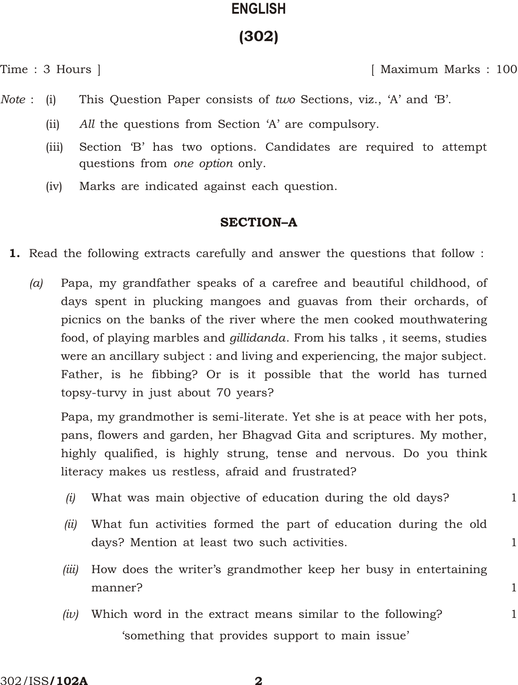# **ENG LISH** (302)

Time : 3 Hours ] [ Maximum Marks : 100

- *Note* : (i) This Question Paper consists of *two* Sections, viz., 'A' and 'B'.
	- (ii) *All* the questions from Section 'A' are compulsory.
	- (iii) Section 'B' has two options. Candidates are required to attempt questions from *one option* only.
	- (iv) Marks are indicated against each question.

# **SECTION-A**

- 1. Read the following extracts carefully and answer the questions that follow :
	- *(a)* Papa, my grandfather speaks of a carefree and beautiful childhood, of days spent in plucking mangoes and guavas from their orchards, of picnics on the banks of the river where the men cooked mouthwatering food, of playing marbles and *gillidanda*. From his talks , it seems, studies were an ancillary subject : and living and experiencing, the major subject. Father, is he fibbing? Or is it possible that the world has turned topsy-turvy in just about 70 years?

Papa, my grandmother is semi-literate. Yet she is at peace with her pots, pans, flowers and garden, her Bhagvad Gita and scriptures. My mother, highly qualified, is highly strung, tense and nervous. Do you think literacy makes us restless, afraid and frustrated?

- *(i)* What was main objective of education during the old days? 1
- *(ii)* What fun activities formed the part of education during the old days? Mention at least two such activities. 1
- *(iii)* How does the writer's grandmother keep her busy in entertaining manner? 1
- *(iv)* Which word in the extract means similar to the following? 1 'something that provides support to main issue'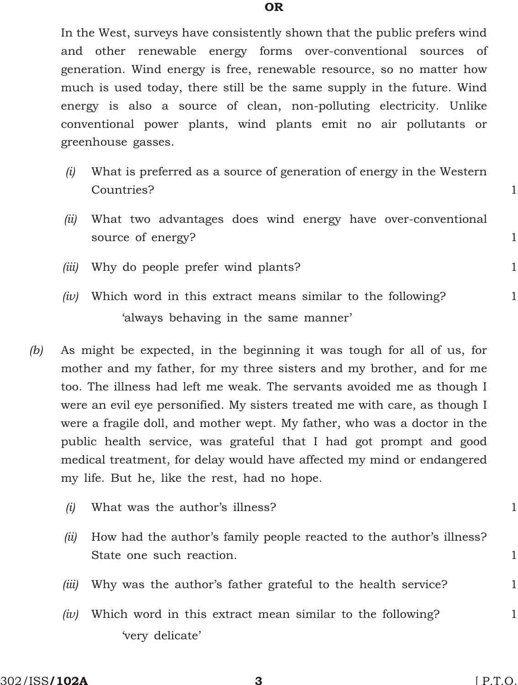OR

In the West, surveys have consistently shown that the public prefers wind and other renewable energy forms over-conventional sources of generation. Wind energy is free, renewable resource, so no matter how much is used today, there still be the same supply in the future. Wind energy is also a source of clean, non-polluting electricity. Unlike conventional power plants, wind plants emit no air pollutants or greenhouse gasses.

- *(i)* What is preferred as a source of generation of energy in the Western Countries? 1
- *(ii)* What two advantages does wind energy have over-conventional source of energy?
- *(iii)* Why do people prefer wind plants? 1
- $(iv)$  Which word in this extract means similar to the following?  $1$ 'always behaving in the same manner'
- *(b)* As might be expected, in the beginning it was tough for all of us, for mother and my father, for my three sisters and my brother, and for me too. The illness had left me weak. The servants avoided me as though I were an evil eye personified. My sisters treated me with care, as though I were a fragile doll, and mother wept. My father, who was a doctor in the public health service, was grateful that I had got prompt and good medical treatment, for delay would have affected my mind or endangered my life. But he, like the rest, had no hope.

| (i)   | What was the author's illness?                                                                  |  |
|-------|-------------------------------------------------------------------------------------------------|--|
| (ii)  | How had the author's family people reacted to the author's illness?<br>State one such reaction. |  |
| (iii) | Why was the author's father grateful to the health service?                                     |  |
| (iv)  | Which word in this extract mean similar to the following?                                       |  |
|       | 'very delicate'                                                                                 |  |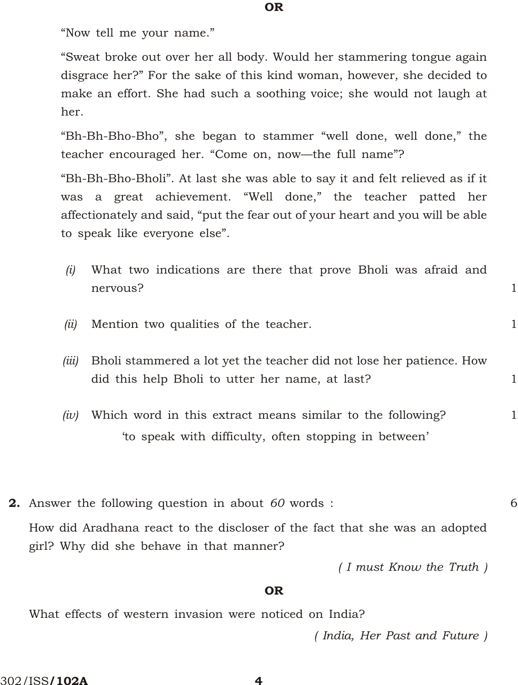"Now tell me your name."

"Sweat broke out over her all body. Would her stammering tongue again disgrace her?" For the sake of this kind woman, however, she decided to make an effort. She had such a soothing voice; she would not laugh at her.

"Bh-Bh-Bho-Bho", she began to stammer "well done, well done," the teacher encouraged her. "Come on, now—the full name"?

"Bh-Bh-Bho-Bholi". At last she was able to say it and felt relieved as if it was a great achievement. "Well done," the teacher patted her affectionately and said, "put the fear out of your heart and you will be able to speak like everyone else".

|          | $(i)$ What two indications are there that prove Bholi was afraid and |  |  |  |  |  |
|----------|----------------------------------------------------------------------|--|--|--|--|--|
| nervous? |                                                                      |  |  |  |  |  |

- *(ii)* Mention two qualities of the teacher. 1
- *(iii)* Bholi stammered a lot yet the teacher did not lose her patience. How did this help Bholi to utter her name, at last? 1
- *(iv)* Which word in this extract means similar to the following? 1 'to speak with difficulty, often stopping in between'
- 2. Answer the following question in about *60* words : 6 How did Aradhana react to the discloser of the fact that she was an adopted girl? Why did she behave in that manner?

*( I must Know the Truth )*

### OR

What effects of western invasion were noticed on India?

*( In dia, Her Past and Future )*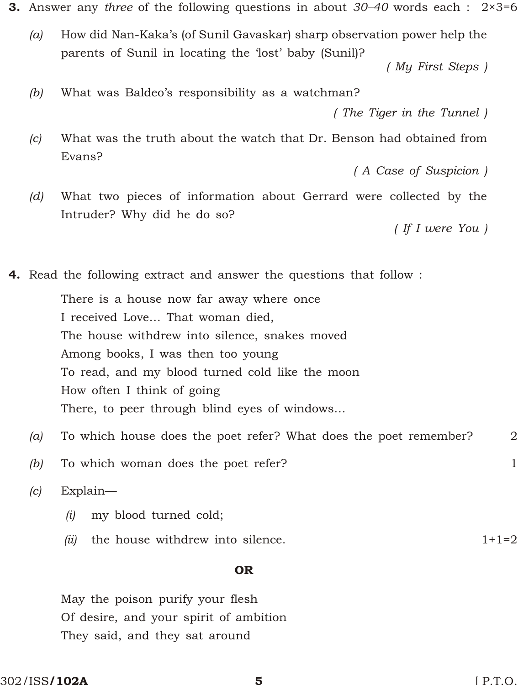3. Answer any *three* of the following questions in about *30–40* words each : 2×3=6

*(a)* How did Nan-Kaka's (of Sunil Gavaskar) sharp observation power help the parents of Sunil in locating the 'lost' baby (Sunil)?

*( My First Steps )*

*(b)* What was Baldeo's responsibility as a watchman?

*( The Tiger in the Tunnel )*

*(c)* What was the truth about the watch that Dr. Benson had obtained from Evans?

*( A Case of Suspicion )*

*(d)* What two pieces of information about Gerrard were collected by the Intruder? Why did he do so?

*( If I were You )*

4. Read the following extract and answer the questions that follow :

There is a house now far away where once I received Love… That woman died, The house withdrew into silence, snakes moved Among books, I was then too young To read, and my blood turned cold like the moon How often I think of going There, to peer through blind eyes of windows…

- *(a)* To which house does the poet refer? What does the poet remember? 2
- *(b)* To which woman does the poet refer? 1

*(c)* Explain—

- *(i)* my blood turned cold;
- *(ii)* the house withdrew into silence.  $1+1=2$

#### OR

May the poison purify your flesh Of desire, and your spirit of ambition They said, and they sat around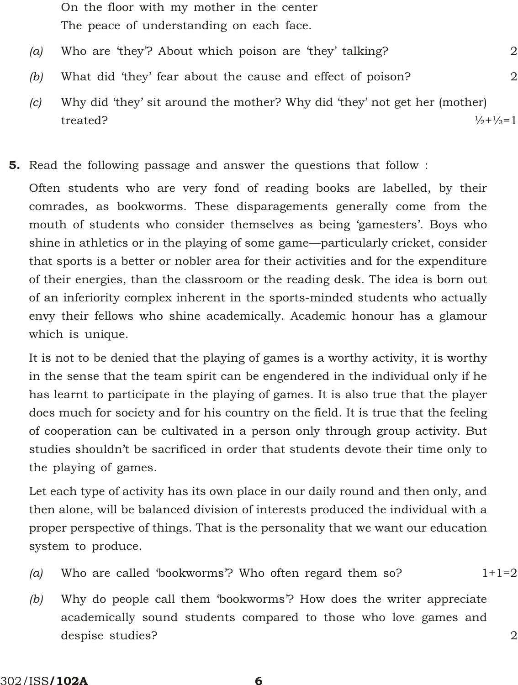- On the floor with my mother in the center The peace of understanding on each face.
- *(a)* Who are 'they'? About which poison are 'they' talking? 2
- *(b)* What did 'they' fear about the cause and effect of poison? 2
- *(c)* Why did 'they' sit around the mother? Why did 'they' not get her (mother) treated?  $\frac{1}{2} + \frac{1}{2} = 1$
- 5. Read the following passage and answer the questions that follow :

Often students who are very fond of reading books are labelled, by their comrades, as bookworms. These disparagements generally come from the mouth of students who consider themselves as being 'gamesters'. Boys who shine in athletics or in the playing of some game—particularly cricket, consider that sports is a better or nobler area for their activities and for the expenditure of their energies, than the classroom or the reading desk. The idea is born out of an inferiority complex inherent in the sports-minded students who actually envy their fellows who shine academically. Academic honour has a glamour which is unique.

It is not to be denied that the playing of games is a worthy activity, it is worthy in the sense that the team spirit can be engendered in the individual only if he has learnt to participate in the playing of games. It is also true that the player does much for society and for his country on the field. It is true that the feeling of cooperation can be cultivated in a person only through group activity. But studies shouldn't be sacrificed in order that students devote their time only to the playing of games.

Let each type of activity has its own place in our daily round and then only, and then alone, will be balanced division of interests produced the individual with a proper perspective of things. That is the personality that we want our education system to produce.

- *(a)* Who are called 'bookworms'? Who often regard them so? 1+1=2
- *(b)* Why do people call them 'bookworms'? How does the writer appreciate academically sound students compared to those who love games and despise studies? 2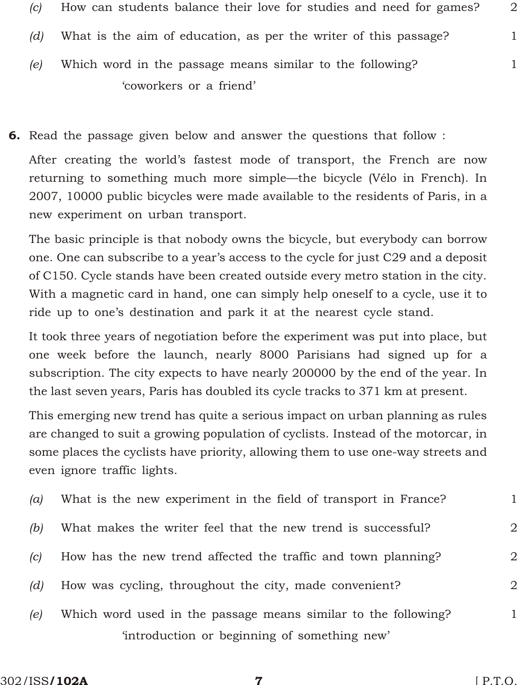- *(c)* How can students balance their love for studies and need for games? 2 *(d)* What is the aim of education, as per the writer of this passage? 1 *(e)* Which word in the passage means similar to the following? 1 'coworkers or a friend'
- 6. Read the passage given below and answer the questions that follow :

After creating the world's fastest mode of transport, the French are now returning to something much more simple—the bicycle (Vélo in French). In 2007, 10000 public bicycles were made available to the residents of Paris, in a new experiment on urban transport.

The basic principle is that nobody owns the bicycle, but everybody can borrow one. One can subscribe to a year's access to the cycle for just C29 and a deposit of C150. Cycle stands have been created outside every metro station in the city. With a magnetic card in hand, one can simply help oneself to a cycle, use it to ride up to one's destination and park it at the nearest cycle stand.

It took three years of negotiation before the experiment was put into place, but one week before the launch, nearly 8000 Parisians had signed up for a subscription. The city expects to have nearly 200000 by the end of the year. In the last seven years, Paris has doubled its cycle tracks to 371 km at present.

This emerging new trend has quite a serious impact on urban planning as rules are changed to suit a growing population of cyclists. Instead of the motorcar, in some places the cyclists have priority, allowing them to use one-way streets and even ignore traffic lights.

| (a) | What is the new experiment in the field of transport in France? |   |
|-----|-----------------------------------------------------------------|---|
| (b) | What makes the writer feel that the new trend is successful?    | 2 |
| (c) | How has the new trend affected the traffic and town planning?   | 2 |
| (d) | How was cycling, throughout the city, made convenient?          | 2 |
| (e) | Which word used in the passage means similar to the following?  | 1 |
|     | 'introduction or beginning of something new'                    |   |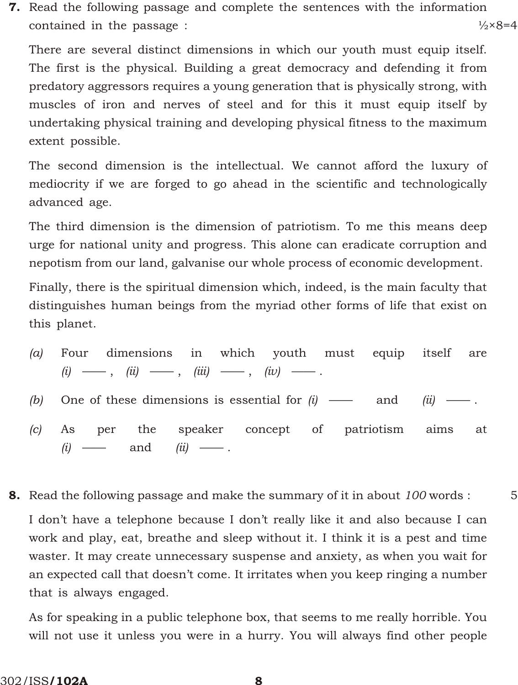7. Read the following passage and complete the sentences with the information contained in the passage :  $\frac{1}{2} \times 8 = 4$ 

There are several distinct dimensions in which our youth must equip itself. The first is the physical. Building a great democracy and defending it from predatory aggressors requires a young generation that is physically strong, with muscles of iron and nerves of steel and for this it must equip itself by undertaking physical training and developing physical fitness to the maximum extent possible.

The second dimension is the intellectual. We cannot afford the luxury of mediocrity if we are forged to go ahead in the scientific and technologically advanced age.

The third dimension is the dimension of patriotism. To me this means deep urge for national unity and progress. This alone can eradicate corruption and nepotism from our land, galvanise our whole process of economic development.

Finally, there is the spiritual dimension which, indeed, is the main faculty that distinguishes human beings from the myriad other forms of life that exist on this planet.

- *(a)* Four dimensions in which youth must equip itself are  $(i) \longrightarrow, \quad (ii) \longrightarrow, \quad (iii) \longrightarrow, \quad (iv) \longrightarrow.$
- *(b)* One of these dimensions is essential for *(i)* —— and *(ii)* —— .
- *(c)* As per the speaker concept of patriotism aims at *(i)* —— and *(ii)* —— .
- 8. Read the following passage and make the summary of it in about *100* words : 5

I don't have a telephone because I don't really like it and also because I can work and play, eat, breathe and sleep without it. I think it is a pest and time waster. It may create unnecessary suspense and anxiety, as when you wait for an expected call that doesn't come. It irritates when you keep ringing a number that is always engaged.

As for speaking in a public telephone box, that seems to me really horrible. You will not use it unless you were in a hurry. You will always find other people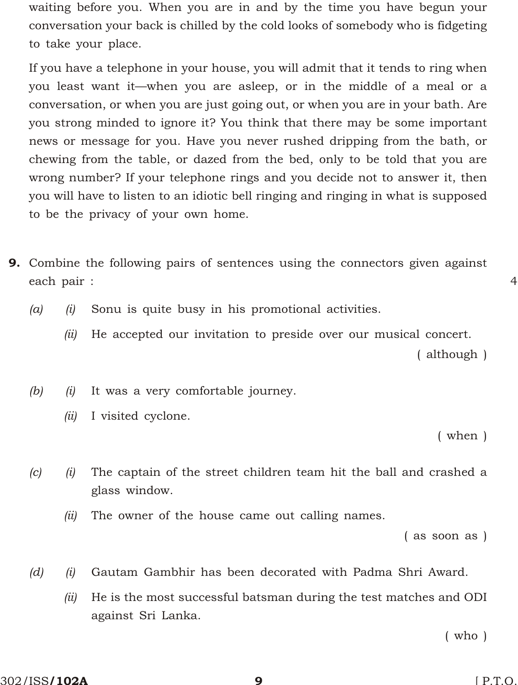waiting before you. When you are in and by the time you have begun your conversation your back is chilled by the cold looks of somebody who is fidgeting to take your place.

If you have a telephone in your house, you will admit that it tends to ring when you least want it—when you are asleep, or in the middle of a meal or a conversation, or when you are just going out, or when you are in your bath. Are you strong minded to ignore it? You think that there may be some important news or message for you. Have you never rushed dripping from the bath, or chewing from the table, or dazed from the bed, only to be told that you are wrong number? If your telephone rings and you decide not to answer it, then you will have to listen to an idiotic bell ringing and ringing in what is supposed to be the privacy of your own home.

- 9. Combine the following pairs of sentences using the connectors given against each pair : 4
	- *(a) (i)* Sonu is quite busy in his promotional activities.
		- *(ii)* He accepted our invitation to preside over our musical concert.

( although )

- *(b) (i)* It was a very comfortable journey.
	- *(ii)* I visited cyclone.

( when )

- *(c) (i)* The captain of the street children team hit the ball and crashed a glass window.
	- *(ii)* The owner of the house came out calling names.

( as soon as )

- *(d) (i)* Gautam Gambhir has been decorated with Padma Shri Award.
	- *(ii)* He is the most successful batsman during the test matches and ODI against Sri Lanka.

( who )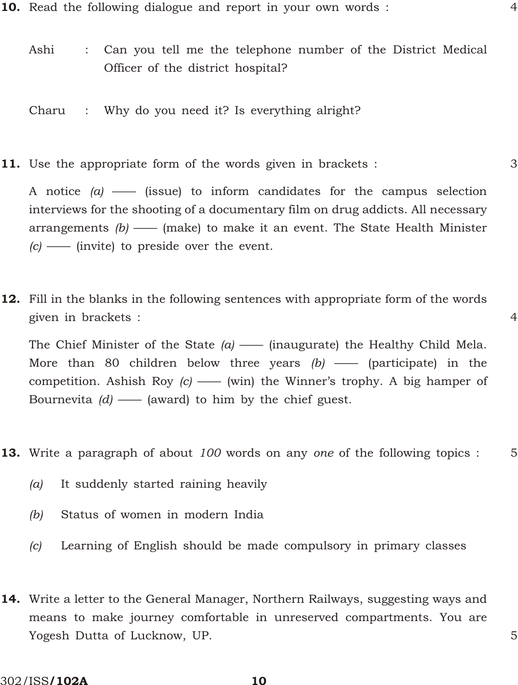- **10.** Read the following dialogue and report in your own words :  $\frac{4}{3}$ 
	- Ashi : Can you tell me the telephone number of the District Medical Officer of the district hospital?
	- Charu : Why do you need it? Is everything alright?
- **11.** Use the appropriate form of the words given in brackets :  $\frac{3}{2}$

A notice *(a)* —— (issue) to inform candidates for the campus selection interviews for the shooting of a documentary film on drug addicts. All necessary arrangements *(b)* —— (make) to make it an event. The State Health Minister *(c)* —— (invite) to preside over the event.

12. Fill in the blanks in the following sentences with appropriate form of the words given in brackets : 4

The Chief Minister of the State *(a)* —— (inaugurate) the Healthy Child Mela. More than 80 children below three years *(b)* —— (participate) in the competition. Ashish Roy *(c)* —— (win) the Winner's trophy. A big hamper of Bournevita *(d)* —— (award) to him by the chief guest.

- 13. Write a paragraph of about *100* words on any *one* of the following topics : 5
	- *(a)* It suddenly started raining heavily
	- *(b)* Status of women in modern India
	- *(c)* Learning of English should be made compulsory in primary classes
- 14. Write a letter to the General Manager, Northern Railways, suggesting ways and means to make journey comfortable in unreserved compartments. You are Yogesh Dutta of Lucknow, UP. 5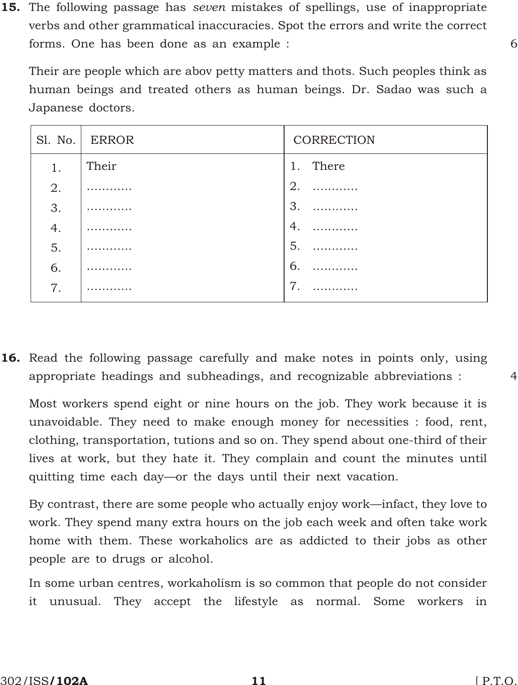15. The following passage has *seven* mistakes of spellings, use of inappropriate verbs and other grammatical inaccuracies. Spot the errors and write the correct forms. One has been done as an example : 6

Their are people which are abov petty matters and thots. Such peoples think as human beings and treated others as human beings. Dr. Sadao was such a Japanese doctors.

|    | Sl. No.   ERROR | CORRECTION     |
|----|-----------------|----------------|
| 1. | Their           | 1. There       |
| 2. | .               | 2.             |
| 3. |                 | $\mathcal{S}$  |
| 4. |                 | 4.             |
| 5. | .               | 5.             |
| 6. |                 | 6.             |
| 7. |                 | $\overline{7}$ |

16. Read the following passage carefully and make notes in points only, using appropriate headings and subheadings, and recognizable abbreviations : 4

Most workers spend eight or nine hours on the job. They work because it is unavoidable. They need to make enough money for necessities : food, rent, clothing, transportation, tutions and so on. They spend about one-third of their lives at work, but they hate it. They complain and count the minutes until quitting time each day—or the days until their next vacation.

By contrast, there are some people who actually enjoy work—infact, they love to work. They spend many extra hours on the job each week and often take work home with them. These workaholics are as addicted to their jobs as other people are to drugs or alcohol.

In some urban centres, workaholism is so common that people do not consider it unusual. They accept the lifestyle as normal. Some workers in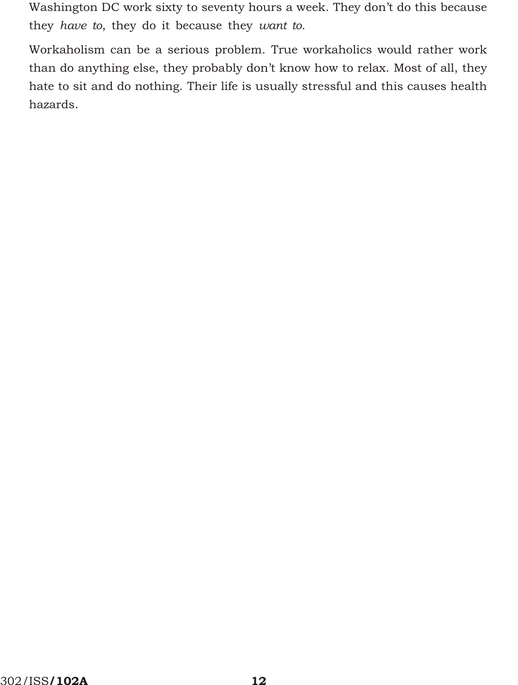Washington DC work sixty to seventy hours a week. They don't do this because they *have to*, they do it because they *want to*.

Workaholism can be a serious problem. True workaholics would rather work than do anything else, they probably don't know how to relax. Most of all, they hate to sit and do nothing. Their life is usually stressful and this causes health hazards.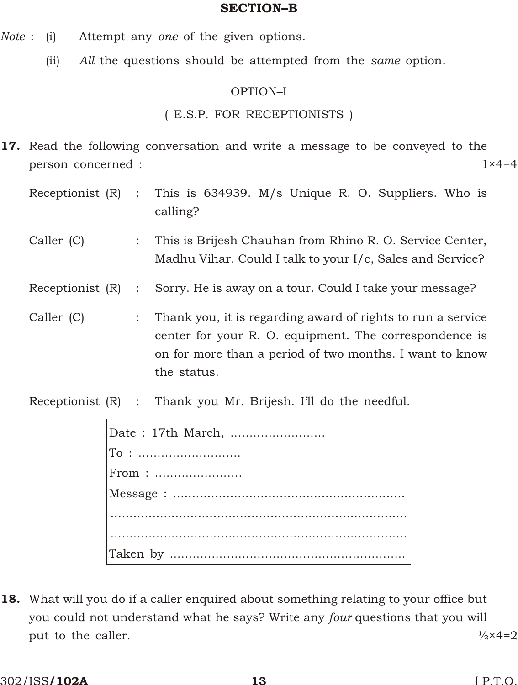# SECTION-B

- *Note* : (i) Attempt any *one* of the given options.
	- (ii) *All* the questions should be attempted from the *same* option.

# OPTION-I

# (E.S.P. FOR RECEPTIONISTS)

- 17. Read the following conversation and write a message to be conveyed to the person concerned : 1×4=4
	- Receptionist (R) : This is 634939. M/s Unique R. O. Suppliers. Who is calling?
	- Caller (C) : This is Brijesh Chauhan from Rhino R. O. Service Center, Madhu Vihar. Could I talk to your I/c, Sales and Service?
	- Receptionist (R) : Sorry. He is away on a tour. Could I take your message?
	- Caller  $(C)$  : Thank you, it is regarding award of rights to run a service center for your R. O. equipment. The correspondence is on for more than a period of two months. I want to know the status.
	- Receptionist (R) : Thank you Mr. Brijesh. I'll do the needful.

| $From: \dots \dots \dots \dots \dots \dots \dots \dots \dots$ |
|---------------------------------------------------------------|
|                                                               |
|                                                               |
|                                                               |
|                                                               |

18. What will you do if a caller enquired about something relating to your office but you could not understand what he says? Write any *four* questions that you will put to the caller.  $\frac{1}{2} \times 4 = 2$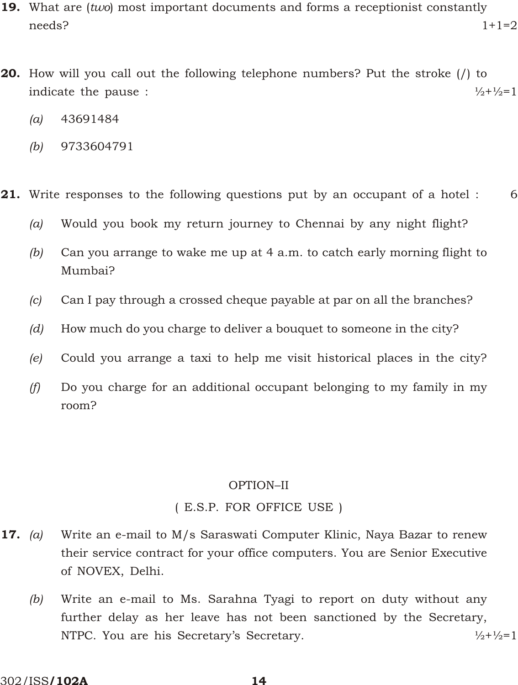- 19. What are (*two*) most important documents and forms a receptionist constantly needs? 1+1=2
- 20. How will you call out the following telephone numbers? Put the stroke (/) to indicate the pause :  $\frac{1}{2} + \frac{1}{2} = 1$ 
	- *(a)* 43691484
	- *(b)* 9733604791
- **21.** Write responses to the following questions put by an occupant of a hotel : 6
	- *(a)* Would you book my return journey to Chennai by any night flight?
	- *(b)* Can you arrange to wake me up at 4 a.m. to catch early morning flight to Mumbai?
	- *(c)* Can I pay through a crossed cheque payable at par on all the branches?
	- *(d)* How much do you charge to deliver a bouquet to someone in the city?
	- *(e)* Could you arrange a taxi to help me visit historical places in the city?
	- *(f)* Do you charge for an additional occupant belonging to my family in my room?

# OPTION-II

# (E.S.P. FOR OFFICE USE)

- 17. *(a)* Write an e-mail to M/s Saraswati Computer Klinic, Naya Bazar to renew their service contract for your office computers. You are Senior Executive of NOVEX, Delhi.
	- *(b)* Write an e-mail to Ms. Sarahna Tyagi to report on duty without any further delay as her leave has not been sanctioned by the Secretary, NTPC. You are his Secretary's Secretary.  $\frac{1}{2} + \frac{1}{2} = 1$